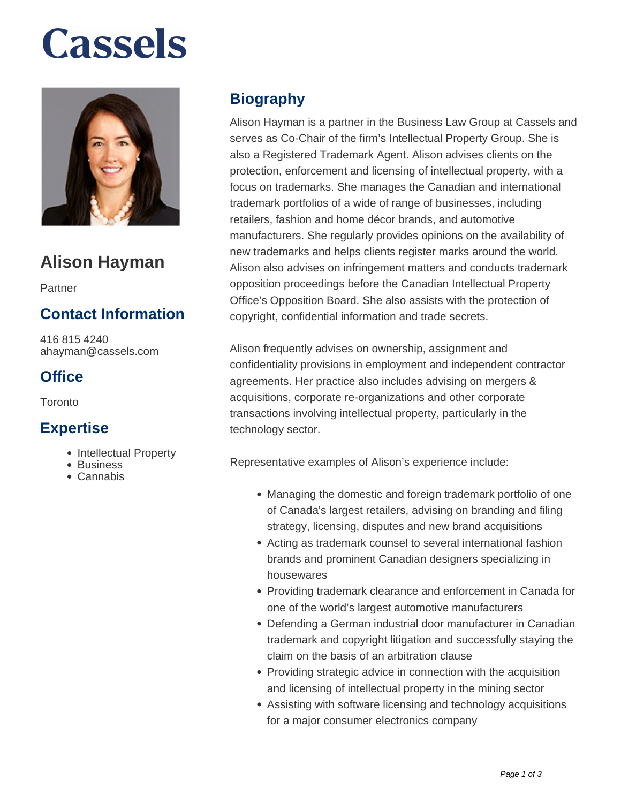# **Cassels**



# **Alison Hayman**

Partner

## **Contact Information**

416 815 4240 ahayman@cassels.com

### **Office**

Toronto

#### **Expertise**

- Intellectual Property
- Business
- Cannabis

# **Biography**

Alison Hayman is a partner in the Business Law Group at Cassels and serves as Co-Chair of the firm's Intellectual Property Group. She is also a Registered Trademark Agent. Alison advises clients on the protection, enforcement and licensing of intellectual property, with a focus on trademarks. She manages the Canadian and international trademark portfolios of a wide of range of businesses, including retailers, fashion and home décor brands, and automotive manufacturers. She regularly provides opinions on the availability of new trademarks and helps clients register marks around the world. Alison also advises on infringement matters and conducts trademark opposition proceedings before the Canadian Intellectual Property Office's Opposition Board. She also assists with the protection of copyright, confidential information and trade secrets.

Alison frequently advises on ownership, assignment and confidentiality provisions in employment and independent contractor agreements. Her practice also includes advising on mergers & acquisitions, corporate re-organizations and other corporate transactions involving intellectual property, particularly in the technology sector.

Representative examples of Alison's experience include:

- Managing the domestic and foreign trademark portfolio of one of Canada's largest retailers, advising on branding and filing strategy, licensing, disputes and new brand acquisitions
- Acting as trademark counsel to several international fashion brands and prominent Canadian designers specializing in housewares
- Providing trademark clearance and enforcement in Canada for one of the world's largest automotive manufacturers
- Defending a German industrial door manufacturer in Canadian trademark and copyright litigation and successfully staying the claim on the basis of an arbitration clause
- Providing strategic advice in connection with the acquisition and licensing of intellectual property in the mining sector
- Assisting with software licensing and technology acquisitions for a major consumer electronics company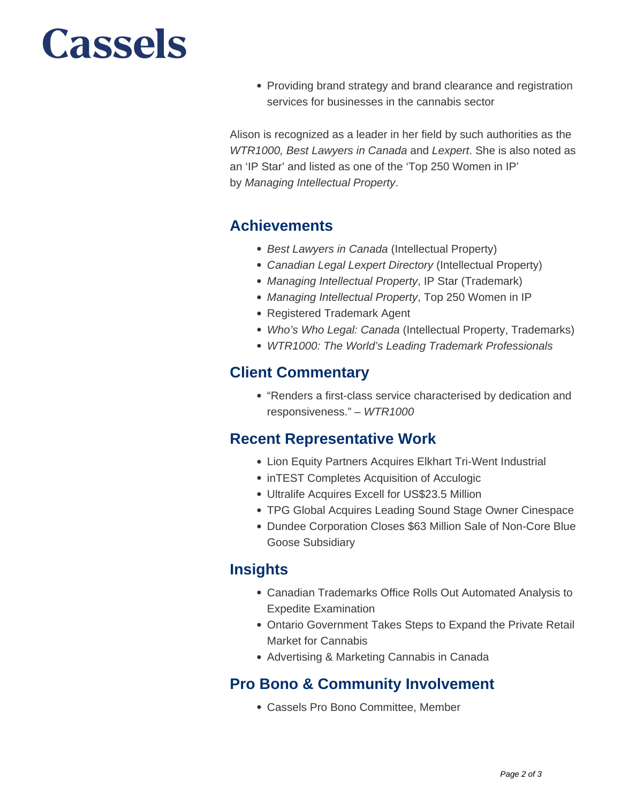# **Cassels**

• Providing brand strategy and brand clearance and registration services for businesses in the cannabis sector

Alison is recognized as a leader in her field by such authorities as the WTR1000, Best Lawyers in Canada and Lexpert. She is also noted as an 'IP Star' and listed as one of the 'Top 250 Women in IP' by Managing Intellectual Property.

#### **Achievements**

- Best Lawyers in Canada (Intellectual Property)
- Canadian Legal Lexpert Directory (Intellectual Property)
- Managing Intellectual Property, IP Star (Trademark)
- Managing Intellectual Property, Top 250 Women in IP
- Registered Trademark Agent
- Who's Who Legal: Canada (Intellectual Property, Trademarks)
- WTR1000: The World's Leading Trademark Professionals

#### **Client Commentary**

"Renders a first-class service characterised by dedication and responsiveness." – WTR1000

#### **Recent Representative Work**

- Lion Equity Partners Acquires Elkhart Tri-Went Industrial
- inTEST Completes Acquisition of Acculogic
- Ultralife Acquires Excell for US\$23.5 Million
- TPG Global Acquires Leading Sound Stage Owner Cinespace
- Dundee Corporation Closes \$63 Million Sale of Non-Core Blue Goose Subsidiary

#### **Insights**

- Canadian Trademarks Office Rolls Out Automated Analysis to Expedite Examination
- Ontario Government Takes Steps to Expand the Private Retail Market for Cannabis
- Advertising & Marketing Cannabis in Canada

#### **Pro Bono & Community Involvement**

Cassels Pro Bono Committee, Member